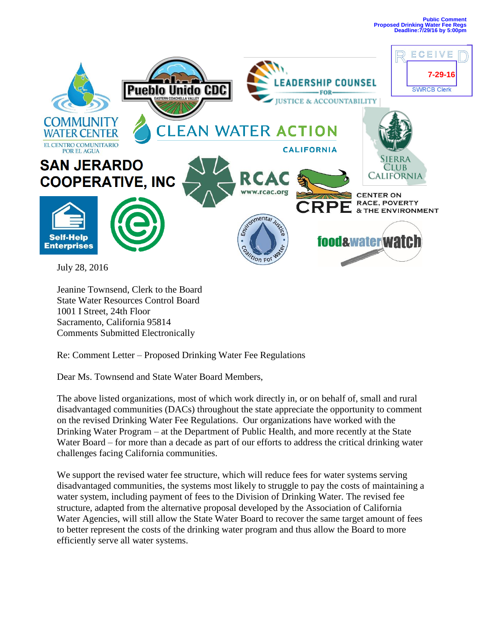

July 28, 2016

Jeanine Townsend, Clerk to the Board State Water Resources Control Board 1001 I Street, 24th Floor Sacramento, California 95814 Comments Submitted Electronically

Re: Comment Letter – Proposed Drinking Water Fee Regulations

Dear Ms. Townsend and State Water Board Members,

The above listed organizations, most of which work directly in, or on behalf of, small and rural disadvantaged communities (DACs) throughout the state appreciate the opportunity to comment on the revised Drinking Water Fee Regulations. Our organizations have worked with the Drinking Water Program – at the Department of Public Health, and more recently at the State Water Board – for more than a decade as part of our efforts to address the critical drinking water challenges facing California communities.

We support the revised water fee structure, which will reduce fees for water systems serving disadvantaged communities, the systems most likely to struggle to pay the costs of maintaining a water system, including payment of fees to the Division of Drinking Water. The revised fee structure, adapted from the alternative proposal developed by the Association of California Water Agencies, will still allow the State Water Board to recover the same target amount of fees to better represent the costs of the drinking water program and thus allow the Board to more efficiently serve all water systems.